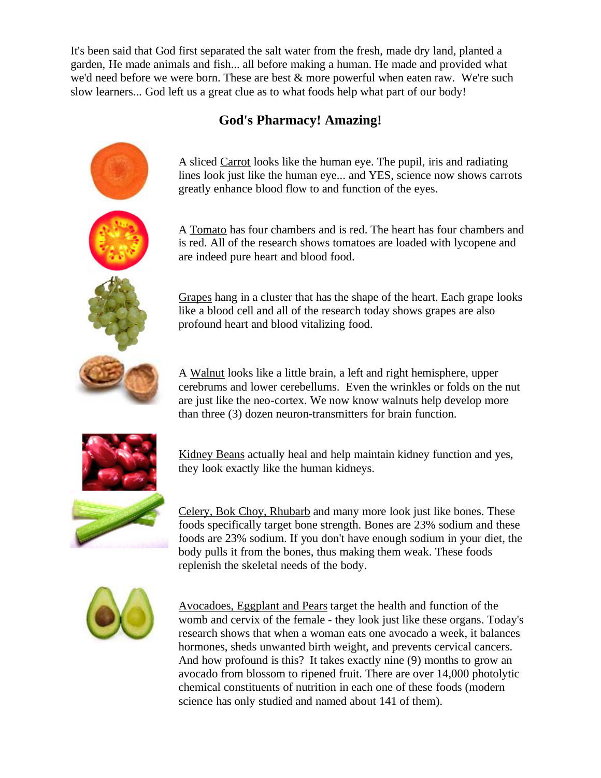It's been said that God first separated the salt water from the fresh, made dry land, planted a garden, He made animals and fish... all before making a human. He made and provided what we'd need before we were born. These are best & more powerful when eaten raw. We're such slow learners... God left us a great clue as to what foods help what part of our body!

## **God's Pharmacy! Amazing!**

A sliced Carrot looks like the human eye. The pupil, iris and radiating lines look just like the human eye... and YES, science now shows carrots greatly enhance blood flow to and function of the eyes.

A Tomato has four chambers and is red. The heart has four chambers and is red. All of the research shows tomatoes are loaded with lycopene and are indeed pure heart and blood food.

Grapes hang in a cluster that has the shape of the heart. Each grape looks like a blood cell and all of the research today shows grapes are also profound heart and blood vitalizing food.

A Walnut looks like a little brain, a left and right hemisphere, upper cerebrums and lower cerebellums. Even the wrinkles or folds on the nut are just like the neo-cortex. We now know walnuts help develop more than three (3) dozen neuron-transmitters for brain function.



Kidney Beans actually heal and help maintain kidney function and yes, they look exactly like the human kidneys.

Celery, Bok Choy, Rhubarb and many more look just like bones. These foods specifically target bone strength. Bones are 23% sodium and these foods are 23% sodium. If you don't have enough sodium in your diet, the body pulls it from the bones, thus making them weak. These foods replenish the skeletal needs of the body.



Avocadoes, Eggplant and Pears target the health and function of the womb and cervix of the female - they look just like these organs. Today's research shows that when a woman eats one avocado a week, it balances hormones, sheds unwanted birth weight, and prevents cervical cancers. And how profound is this? It takes exactly nine (9) months to grow an avocado from blossom to ripened fruit. There are over 14,000 photolytic chemical constituents of nutrition in each one of these foods (modern science has only studied and named about 141 of them).